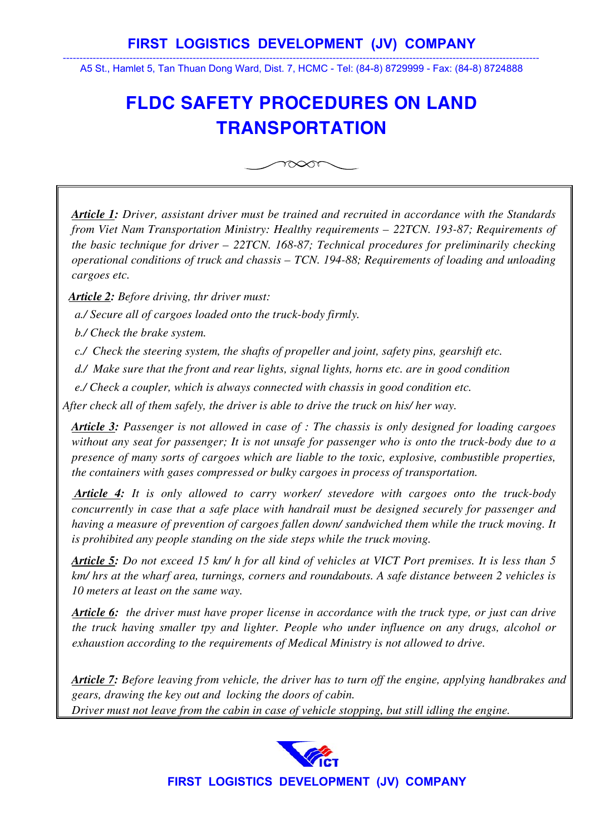## **FIRST LOGISTICS DEVELOPMENT (JV) COMPANY**

----------------------------------------------------------------------------------------------------------------------------------------------- A5 St., Hamlet 5, Tan Thuan Dong Ward, Dist. 7, HCMC - Tel: (84-8) 8729999 - Fax: (84-8) 8724888

## **FLDC SAFETY PROCEDURES ON LAND TRANSPORTATION**



*Article 1: Driver, assistant driver must be trained and recruited in accordance with the Standards from Viet Nam Transportation Ministry: Healthy requirements – 22TCN. 193-87; Requirements of the basic technique for driver – 22TCN. 168-87; Technical procedures for preliminarily checking operational conditions of truck and chassis – TCN. 194-88; Requirements of loading and unloading cargoes etc.* 

*Article 2: Before driving, thr driver must:* 

 *a./ Secure all of cargoes loaded onto the truck-body firmly.* 

 *b./ Check the brake system.* 

 *c./ Check the steering system, the shafts of propeller and joint, safety pins, gearshift etc.* 

 *d./ Make sure that the front and rear lights, signal lights, horns etc. are in good condition* 

 *e./ Check a coupler, which is always connected with chassis in good condition etc.* 

*After check all of them safely, the driver is able to drive the truck on his/ her way.* 

*Article 3: Passenger is not allowed in case of : The chassis is only designed for loading cargoes without any seat for passenger; It is not unsafe for passenger who is onto the truck-body due to a presence of many sorts of cargoes which are liable to the toxic, explosive, combustible properties, the containers with gases compressed or bulky cargoes in process of transportation.* 

 *Article 4: It is only allowed to carry worker/ stevedore with cargoes onto the truck-body concurrently in case that a safe place with handrail must be designed securely for passenger and having a measure of prevention of cargoes fallen down/ sandwiched them while the truck moving. It is prohibited any people standing on the side steps while the truck moving.* 

*Article 5: Do not exceed 15 km/ h for all kind of vehicles at VICT Port premises. It is less than 5 km/ hrs at the wharf area, turnings, corners and roundabouts. A safe distance between 2 vehicles is 10 meters at least on the same way.* 

*Article 6: the driver must have proper license in accordance with the truck type, or just can drive the truck having smaller tpy and lighter. People who under influence on any drugs, alcohol or exhaustion according to the requirements of Medical Ministry is not allowed to drive.* 

*Article 7: Before leaving from vehicle, the driver has to turn off the engine, applying handbrakes and gears, drawing the key out and locking the doors of cabin. Driver must not leave from the cabin in case of vehicle stopping, but still idling the engine.*